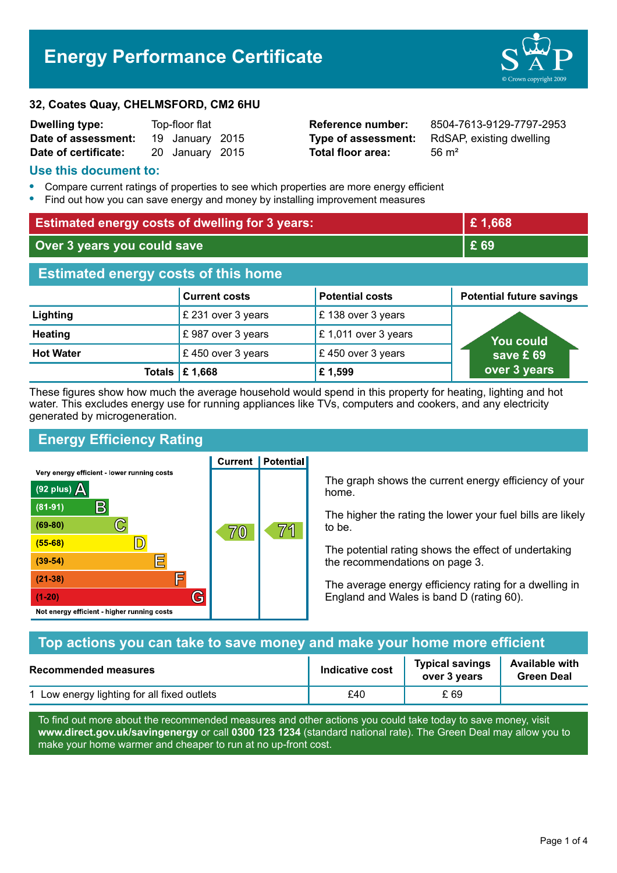# **Energy Performance Certificate**



| <b>Dwelling type:</b> | Top-floor flat |                 |  |
|-----------------------|----------------|-----------------|--|
| Date of assessment:   |                | 19 January 2015 |  |
| Date of certificate:  |                | 20 January 2015 |  |

**Total floor area:** 2015 56 m<sup>2</sup>

**Reference number:** 8504-7613-9129-7797-2953 **Type of assessment:** RdSAP, existing dwelling

#### **Use this document to:**

- **•** Compare current ratings of properties to see which properties are more energy efficient
- **•** Find out how you can save energy and money by installing improvement measures

| <b>Estimated energy costs of dwelling for 3 years:</b> |                           |                        | £1,668                          |
|--------------------------------------------------------|---------------------------|------------------------|---------------------------------|
| Over 3 years you could save                            |                           | £ 69                   |                                 |
| <b>Estimated energy costs of this home</b>             |                           |                        |                                 |
|                                                        | <b>Current costs</b>      | <b>Potential costs</b> | <b>Potential future savings</b> |
| Lighting                                               | £ 231 over 3 years        | £138 over 3 years      |                                 |
| <b>Heating</b>                                         | £987 over 3 years         | £1,011 over 3 years    | <b>You could</b>                |
| <b>Hot Water</b>                                       | £450 over 3 years         | £450 over 3 years      | save £69                        |
|                                                        | Totals $\mathsf{E}$ 1,668 | £1,599                 | over 3 years                    |

These figures show how much the average household would spend in this property for heating, lighting and hot water. This excludes energy use for running appliances like TVs, computers and cookers, and any electricity generated by microgeneration.

**Current | Potential** 

# **Energy Efficiency Rating**

Very energy efficient - lower running costs



The graph shows the current energy efficiency of your home.

The higher the rating the lower your fuel bills are likely to be.

The potential rating shows the effect of undertaking the recommendations on page 3.

The average energy efficiency rating for a dwelling in England and Wales is band D (rating 60).

| Top actions you can take to save money and make your home more efficient |                 |                                        |                                            |
|--------------------------------------------------------------------------|-----------------|----------------------------------------|--------------------------------------------|
| <b>Recommended measures</b>                                              | Indicative cost | <b>Typical savings</b><br>over 3 years | <b>Available with</b><br><b>Green Deal</b> |
| 1 Low energy lighting for all fixed outlets                              | £40             | £ 69                                   |                                            |

To find out more about the recommended measures and other actions you could take today to save money, visit **www.direct.gov.uk/savingenergy** or call **0300 123 1234** (standard national rate). The Green Deal may allow you to make your home warmer and cheaper to run at no up-front cost.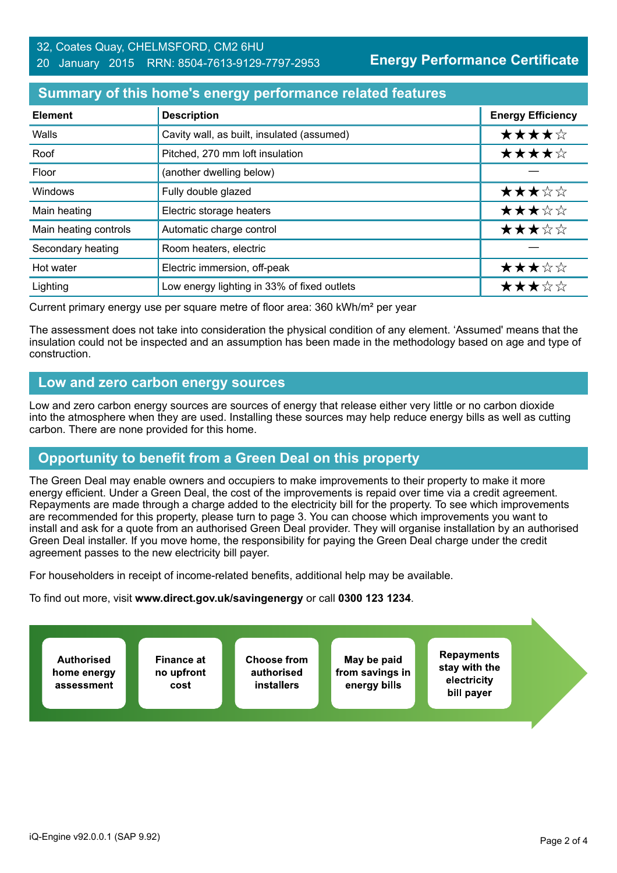#### 32, Coates Quay, CHELMSFORD, CM2 6HU 20 January 2015 RRN: 8504-7613-9129-7797-2953

**Energy Performance Certificate**

#### **Summary of this home's energy performance related features**

| <b>Element</b>        | <b>Description</b>                          | <b>Energy Efficiency</b> |
|-----------------------|---------------------------------------------|--------------------------|
| Walls                 | Cavity wall, as built, insulated (assumed)  | ★★★★☆                    |
| Roof                  | Pitched, 270 mm loft insulation             | ★★★★☆                    |
| Floor                 | (another dwelling below)                    |                          |
| Windows               | Fully double glazed                         | ★★★☆☆                    |
| Main heating          | Electric storage heaters                    | ★★★☆☆                    |
| Main heating controls | Automatic charge control                    | ★★★☆☆                    |
| Secondary heating     | Room heaters, electric                      |                          |
| Hot water             | Electric immersion, off-peak                | ★★★☆☆                    |
| Lighting              | Low energy lighting in 33% of fixed outlets | ★★★☆☆                    |

Current primary energy use per square metre of floor area: 360 kWh/m² per year

The assessment does not take into consideration the physical condition of any element. 'Assumed' means that the insulation could not be inspected and an assumption has been made in the methodology based on age and type of construction.

## **Low and zero carbon energy sources**

Low and zero carbon energy sources are sources of energy that release either very little or no carbon dioxide into the atmosphere when they are used. Installing these sources may help reduce energy bills as well as cutting carbon. There are none provided for this home.

# **Opportunity to benefit from a Green Deal on this property**

The Green Deal may enable owners and occupiers to make improvements to their property to make it more energy efficient. Under a Green Deal, the cost of the improvements is repaid over time via a credit agreement. Repayments are made through a charge added to the electricity bill for the property. To see which improvements are recommended for this property, please turn to page 3. You can choose which improvements you want to install and ask for a quote from an authorised Green Deal provider. They will organise installation by an authorised Green Deal installer. If you move home, the responsibility for paying the Green Deal charge under the credit agreement passes to the new electricity bill payer.

For householders in receipt of income-related benefits, additional help may be available.

To find out more, visit **www.direct.gov.uk/savingenergy** or call **0300 123 1234**.

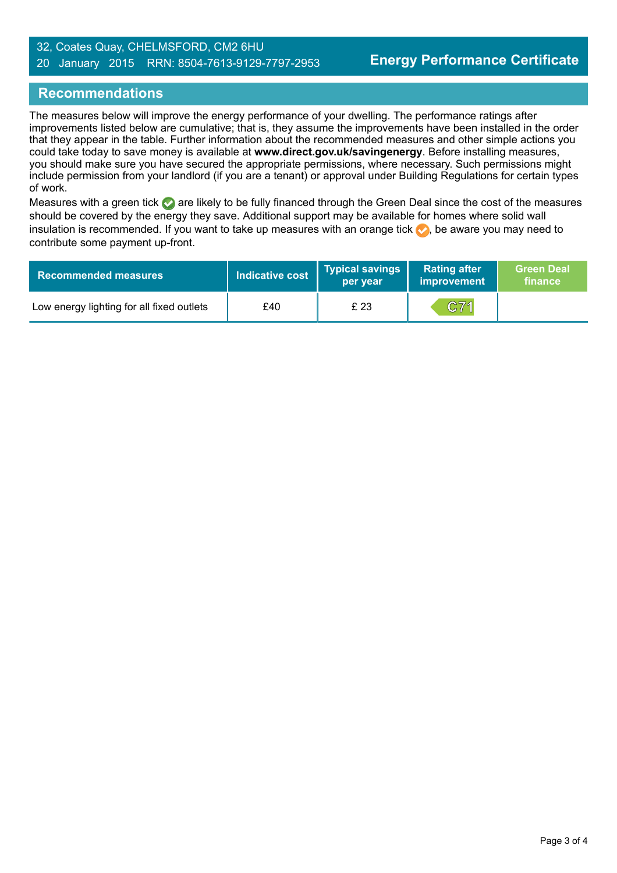#### 32, Coates Quay, CHELMSFORD, CM2 6HU 20 January 2015 RRN: 8504-7613-9129-7797-2953

## **Recommendations**

The measures below will improve the energy performance of your dwelling. The performance ratings after improvements listed below are cumulative; that is, they assume the improvements have been installed in the order that they appear in the table. Further information about the recommended measures and other simple actions you could take today to save money is available at **www.direct.gov.uk/savingenergy**. Before installing measures, you should make sure you have secured the appropriate permissions, where necessary. Such permissions might include permission from your landlord (if you are a tenant) or approval under Building Regulations for certain types of work.

Measures with a green tick are likely to be fully financed through the Green Deal since the cost of the measures should be covered by the energy they save. Additional support may be available for homes where solid wall insulation is recommended. If you want to take up measures with an orange tick  $\blacklozenge$ , be aware you may need to contribute some payment up-front.

| <b>Recommended measures</b>               | <b>Indicative cost</b> | Typical savings<br>per year | <b>Rating after</b><br>improvement | <b>Green Deal</b><br>finance |
|-------------------------------------------|------------------------|-----------------------------|------------------------------------|------------------------------|
| Low energy lighting for all fixed outlets | £40                    | £ 23                        | C71                                |                              |